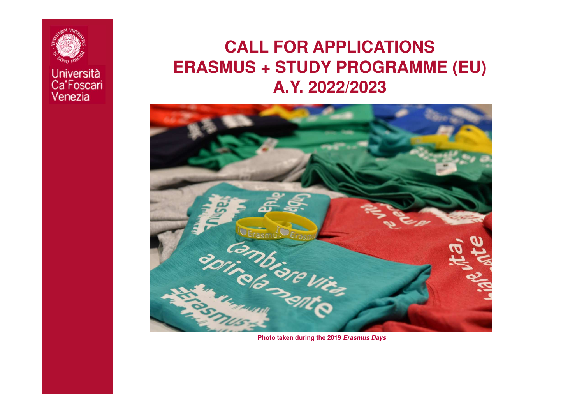

### **CALL FOR APPLICATIONS ERASMUS + STUDY PROGRAMME (EU) A.Y. 2022/2023**

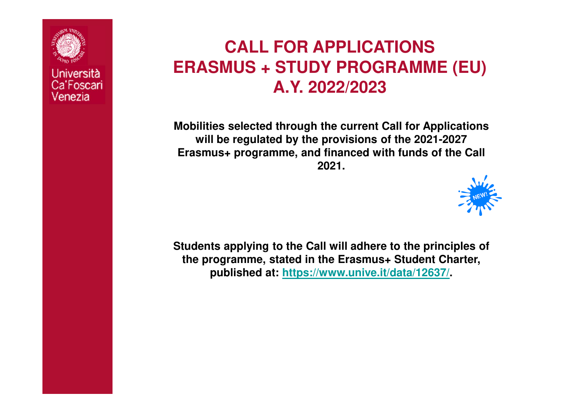

### **CALL FOR APPLICATIONS ERASMUS + STUDY PROGRAMME (EU) A.Y. 2022/2023**

**Mobilities selected through the current Call for Applications will be regulated by the provisions of the 2021-2027 Erasmus+ programme, and financed with funds of the Call 2021.**



**Students applying to the Call will adhere to the principles of the programme, stated in the Erasmus+ Student Charter, published at: https://www.unive.it/data/12637/.**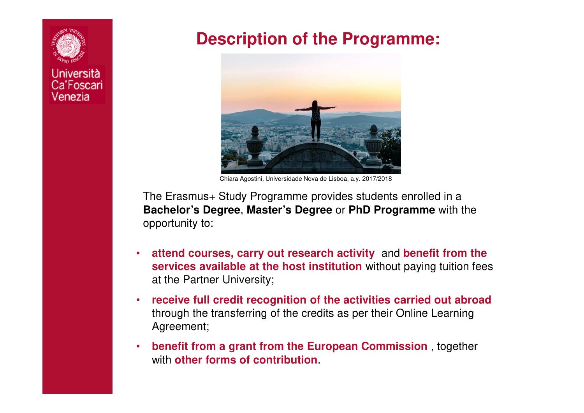

### **Description of the Programme:**



Chiara Agostini, Universidade Nova de Lisboa, a.y. 2017/2018

The Erasmus+ Study Programme provides students enrolled in a **Bachelor's Degree**, **Master's Degree** or **PhD Programme** with the opportunity to:

- • **attend courses, carry out research activity** and **benefit from the services available at the host institution** without paying tuition fees at the Partner University;
- • **receive full credit recognition of the activities carried out abroad**through the transferring of the credits as per their Online Learning Agreement;
- • **benefit from a grant from the European Commission** , together with **other forms of contribution**.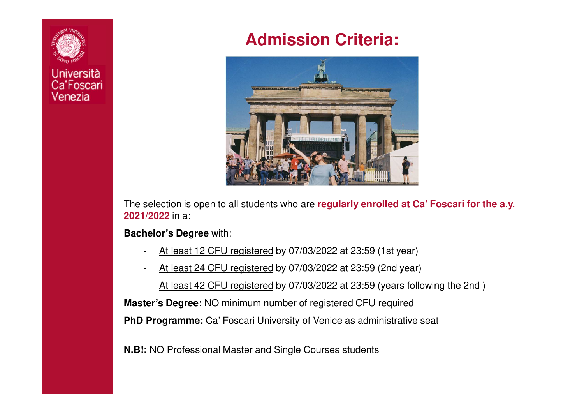

## **Admission Criteria:**



The selection is open to all students who are **regularly enrolled at Ca' Foscari for the a.y. 2021/2022** in a:

**Bachelor's Degree** with:

- -At least 12 CFU registered by 07/03/2022 at 23:59 (1st year)
- -At least 24 CFU registered by 07/03/2022 at 23:59 (2nd year)
- At least 42 CFU registered by 07/03/2022 at 23:59 (years following the 2nd )

**Master's Degree:** NO minimum number of registered CFU required

**PhD Programme:** Ca' Foscari University of Venice as administrative seat

**N.B!:** NO Professional Master and Single Courses students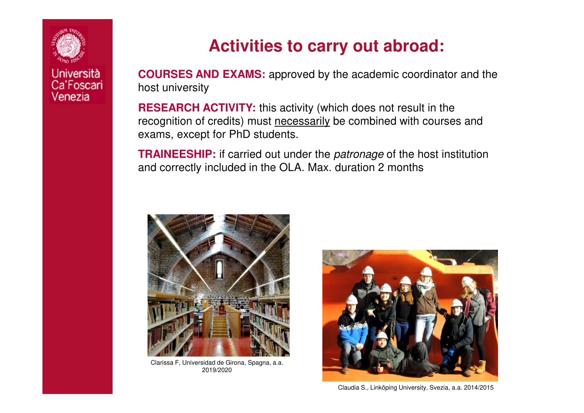

## **Activities to carry out abroad:**

**COURSES AND EXAMS:** approved by the academic coordinator and the host university

**RESEARCH ACTIVITY:** this activity (which does not result in the recognition of credits) must necessarily be combined with courses and exams, except for PhD students.

**TRAINEESHIP:** if carried out under the patronage of the host institution and correctly included in the OLA. Max. duration 2 months



Clarissa F, Universidad de Girona, Spagna, a.a. 2019/2020



Claudia S., Linköping University, Svezia, a.a. 2014/2015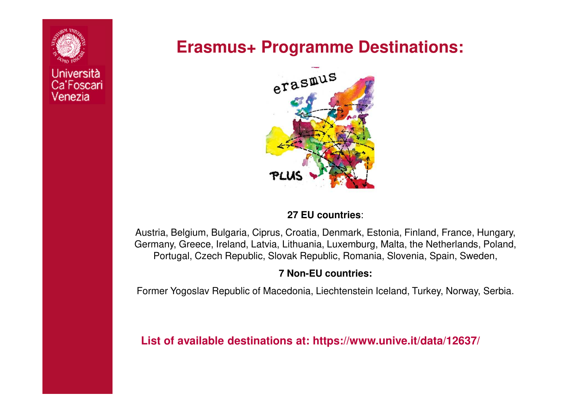

### **Erasmus+ Programme Destinations:**



#### **27 EU countries**:

Austria, Belgium, Bulgaria, Ciprus, Croatia, Denmark, Estonia, Finland, France, Hungary, Germany, Greece, Ireland, Latvia, Lithuania, Luxemburg, Malta, the Netherlands, Poland, Portugal, Czech Republic, Slovak Republic, Romania, Slovenia, Spain, Sweden,

#### **7 Non-EU countries:**

Former Yogoslav Republic of Macedonia, Liechtenstein Iceland, Turkey, Norway, Serbia.

#### **List of available destinations at: https://www.unive.it/data/12637/**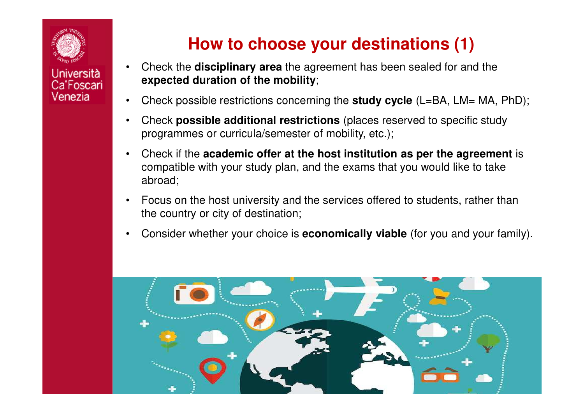

## **How to choose your destinations (1)**

- • Check the **disciplinary area** the agreement has been sealed for and the **expected duration of the mobility**;
- •Check possible restrictions concerning the **study cycle** (L=BA, LM= MA, PhD);
- • Check **possible additional restrictions** (places reserved to specific study programmes or curricula/semester of mobility, etc.);
- • Check if the **academic offer at the host institution as per the agreement** iscompatible with your study plan, and the exams that you would like to take abroad;
- • Focus on the host university and the services offered to students, rather than the country or city of destination;
- •Consider whether your choice is **economically viable** (for you and your family).

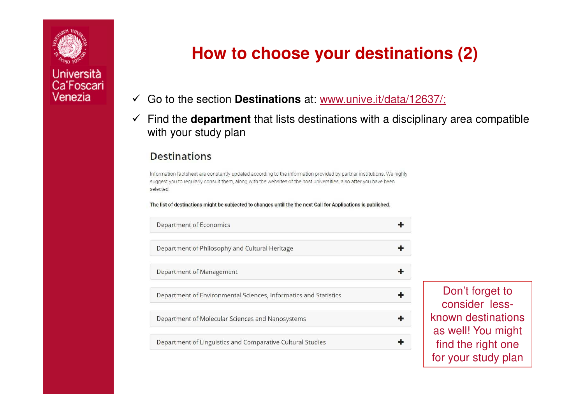

## **How to choose your destinations (2)**

- $\checkmark$ Go to the section **Destinations** at: www.unive.it/data/12637/;
- $\checkmark$  Find the **department** that lists destinations with a disciplinary area compatible with your study plan

#### **Destinations**

Information factsheet are constantly updated according to the information provided by partner institutions. We highly suggest you to regularly consult them, along with the websites of the host universities, also after you have been selected

The list of destinations might be subjected to changes until the the next Call for Applications is published.

| <b>Department of Economics</b>                                   |  |
|------------------------------------------------------------------|--|
| Department of Philosophy and Cultural Heritage                   |  |
| Department of Management                                         |  |
| Department of Environmental Sciences, Informatics and Statistics |  |
| Department of Molecular Sciences and Nanosystems                 |  |
| Department of Linguistics and Comparative Cultural Studies       |  |

Don't forget to consider lessknown destinations as well! You might find the right onefor your study plan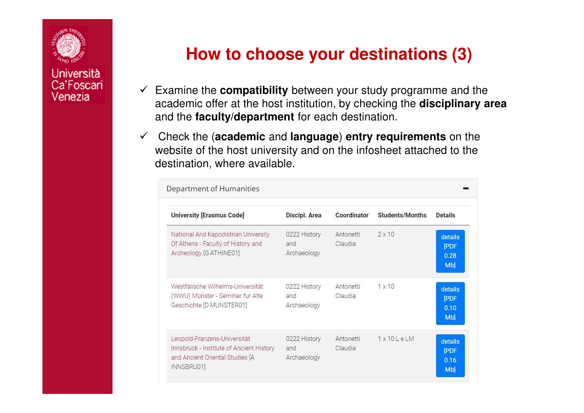

## **How to choose your destinations (3)**

- Examine the **compatibility** between your study programme and the academic offer at the host institution, by checking the **disciplinary area**and the **faculty/department** for each destination.
- Check the (**academic** and **language**) **entry requirements** on the website of the host university and on the infosheet attached to the destination, where available.

| <b>University [Erasmus Code]</b>                                                                                          | Discipl. Area                      | Coordinator          | <b>Students/Months</b> | <b>Details</b>                               |
|---------------------------------------------------------------------------------------------------------------------------|------------------------------------|----------------------|------------------------|----------------------------------------------|
| National And Kapodistrian University<br>Of Athens - Faculty of History and<br>Archeology [G ATHINE01]                     | 0222 History<br>and<br>Archaeology | Antonetti<br>Claudia | $2 \times 10$          | details<br><b>[PDF</b><br>0.28<br><b>Mb]</b> |
| Westfälische Wilhelms-Universität<br>(WWU) Münster - Seminar fur Alte<br>Geschichte [D MUNSTER01]                         | 0222 History<br>and<br>Archaeology | Antonetti<br>Claudia | 1x10                   | details<br><b>PDF</b><br>0.10<br>Mb]         |
| Leopold-Franzens-Universität<br>Innsbruck - Institute of Ancient History<br>and Ancient Oriental Studies [A<br>INNSBRU01] | 0222 History<br>and<br>Archaeology | Antonetti<br>Claudia | $1x10$ LeLM            | details<br><b>PDF</b><br>0.16<br><b>Mb]</b>  |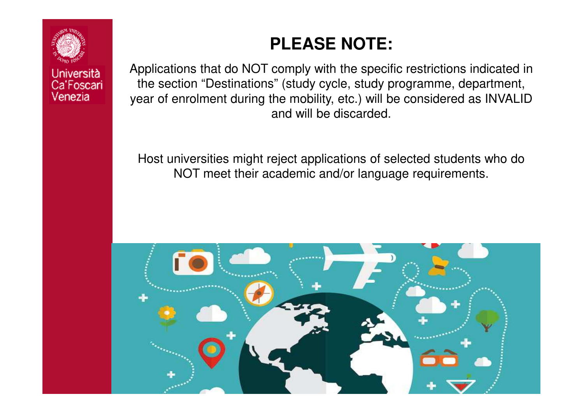

**PLEASE NOTE:**

Applications that do NOT comply with the specific restrictions indicated in the section "Destinations" (study cycle, study programme, department, year of enrolment during the mobility, etc.) will be considered as INVALID and will be discarded.

Host universities might reject applications of selected students who do NOT meet their academic and/or language requirements.

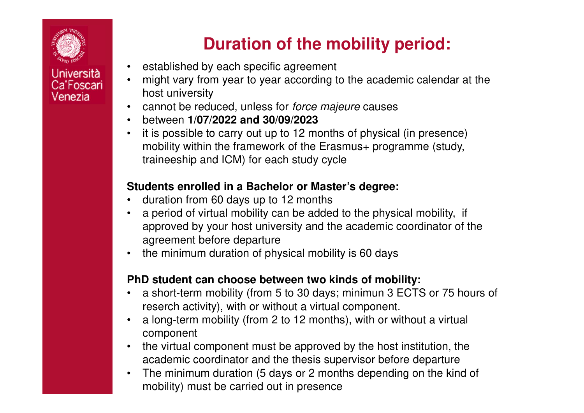

# **Duration of the mobility period:**

- $\bullet$ established by each specific agreement
- • might vary from year to year according to the academic calendar at the host university
- cannot be reduced, unless for force majeure causes  $\bullet$
- •between **1/07/2022 and 30/09/2023**
- • it is possible to carry out up to 12 months of physical (in presence) mobility within the framework of the Erasmus+ programme (study, traineeship and ICM) for each study cycle

#### **Students enrolled in a Bachelor or Master's degree:**

- •duration from 60 days up to 12 months
- <sup>a</sup> period of virtual mobility can be added to the physical mobility, if •approved by your host university and the academic coordinator of the agreement before departure
- the minimum duration of physical mobility is 60 days•

#### **PhD student can choose between two kinds of mobility:**

- <sup>a</sup> short-term mobility (from 5 to 30 days; minimun 3 ECTS or 75 hours of •reserch activity), with or without a virtual component.
- • <sup>a</sup> long-term mobility (from 2 to 12 months), with or without a virtual component
- • the virtual component must be approved by the host institution, the academic coordinator and the thesis supervisor before departure
- The minimum duration (5 days or 2 months depending on the kind of  $\bullet$ mobility) must be carried out in presence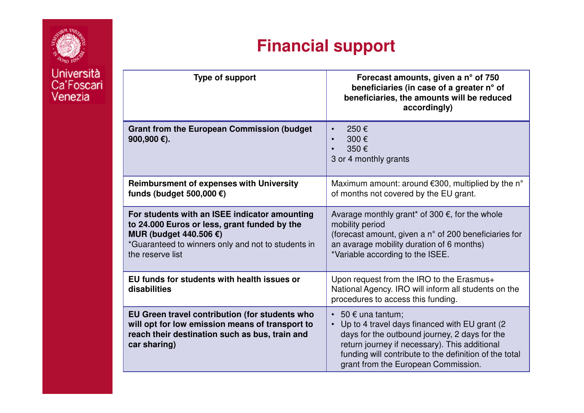

#### **Financial supportType of support Forecast amounts, given a n° of 750 beneficiaries (in case of a greater <sup>n</sup>° of beneficiaries, the amounts will be reducedaccordingly)Grant from the European Commission (budget 900,900 €).** • 250 € 300 €• 350 €• 3 or 4 monthly grants**Reimbursment of expenses with University funds (budget 500,000 €)**Maximum amount: around €300, multiplied by the <sup>n</sup>°of months not covered by the EU grant. **For students with an ISEE indicator amounting to 24.000 Euros or less, grant funded by the MUR (budget 440.506 €)** \*Guaranteed to winners only and not to students in the reserve list Avarage monthly grant\* of 300  $\epsilon$ , for the whole mobility period (forecast amount, given a n° of 200 beneficiaries for an avarage mobility duration of 6 months)\*Variable according to the ISEE. **EU funds for students with health issues or disabilities**Upon request from the IRO to the Erasmus+ National Agency. IRO will inform all students on the procedures to access this funding. **EU Green travel contribution (for students who will opt for low emission means of transport to reach their destination such as bus, train and car sharing)** $\textcolor{red}{\bullet}\ \,$  50  $\textcolor{red}{\epsilon}$  una tantum; • Up to 4 travel days financed with EU grant (2 days for the outbound journey, 2 days for the return journey if necessary). This additional funding will contribute to the definition of the total grant from the European Commission.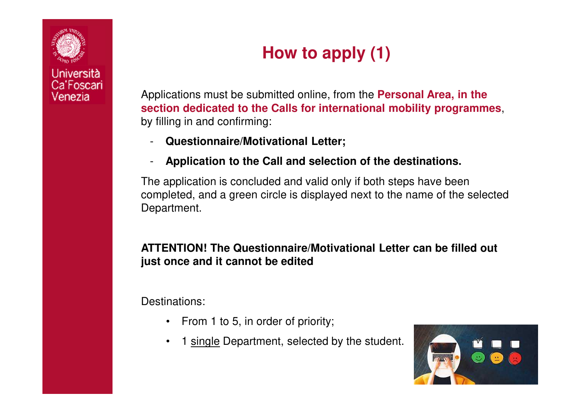

# **How to apply (1)**

Applications must be submitted online, from the **Personal Area, in the section dedicated to the Calls for international mobility programmes**, by filling in and confirming:

- **Questionnaire/Motivational Letter;**
- -**Application to the Call and selection of the destinations.**

The application is concluded and valid only if both steps have been completed, and a green circle is displayed next to the name of the selectedDepartment.

#### **ATTENTION! The Questionnaire/Motivational Letter can be filled out just once and it cannot be edited**

Destinations:

- From 1 to 5, in order of priority;
- •1 single Department, selected by the student.

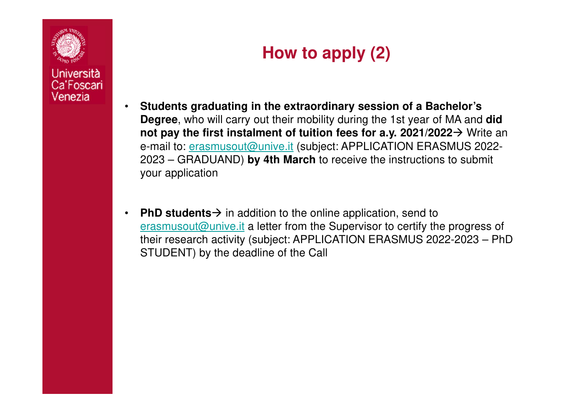

## **How to apply (2)**

- • **Students graduating in the extraordinary session of a Bachelor's Degree**, who will carry out their mobility during the 1st year of MA and **did not pay the first instalment of tuition fees for a.y. 2021/2022** Write an e-mail to: <u>erasmusout@unive.it</u> (subject: APPLICATION ERASMUS 2022-2023 – GRADUAND) **by 4th March** to receive the instructions to submit your application
- •**• PhD students** → in addition to the online application, send to arasmusout@unive it a letter from the Supervisor to certify the erasmusout@unive.it a letter from the Supervisor to certify the progress of their research activity (subject: APPLICATION ERASMUS 2022-2023 – PhDSTUDENT) by the deadline of the Call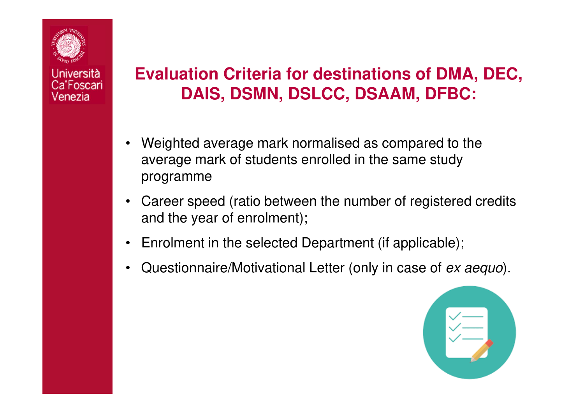

## **Evaluation Criteria for destinations of DMA, DEC, DAIS, DSMN, DSLCC, DSAAM, DFBC:**

- • Weighted average mark normalised as compared to the average mark of students enrolled in the same studyprogramme
- • Career speed (ratio between the number of registered credits and the year of enrolment);
- •Enrolment in the selected Department (if applicable);
- •Questionnaire/Motivational Letter (only in case of ex aequo).

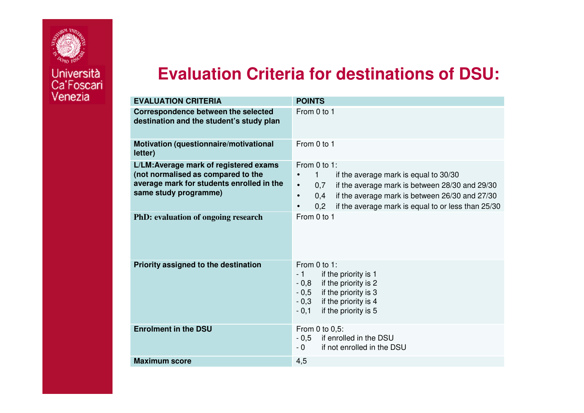

Università Ca'Foscari

### **Evaluation Criteria for destinations of DSU:**

| <b>EVALUATION CRITERIA</b>                                                                                                                         | <b>POINTS</b>                                                                                                                                                                                                                                                                                  |
|----------------------------------------------------------------------------------------------------------------------------------------------------|------------------------------------------------------------------------------------------------------------------------------------------------------------------------------------------------------------------------------------------------------------------------------------------------|
| <b>Correspondence between the selected</b><br>destination and the student's study plan                                                             | From 0 to 1                                                                                                                                                                                                                                                                                    |
| Motivation (questionnaire/motivational<br>letter)                                                                                                  | From 0 to 1                                                                                                                                                                                                                                                                                    |
| L/LM: Average mark of registered exams<br>(not normalised as compared to the<br>average mark for students enrolled in the<br>same study programme) | From 0 to 1:<br>1.<br>if the average mark is equal to 30/30<br>$\bullet$<br>if the average mark is between 28/30 and 29/30<br>0,7<br>$\bullet$<br>if the average mark is between 26/30 and 27/30<br>0,4<br>$\bullet$<br>0,2<br>if the average mark is equal to or less than 25/30<br>$\bullet$ |
| PhD: evaluation of ongoing research                                                                                                                | From 0 to 1                                                                                                                                                                                                                                                                                    |
| Priority assigned to the destination                                                                                                               | From 0 to 1:<br>if the priority is 1<br>$-1$<br>if the priority is 2<br>$-0,8$<br>if the priority is 3<br>$-0,5$<br>if the priority is 4<br>$-0,3$<br>if the priority is 5<br>$-0,1$                                                                                                           |
| <b>Enrolment in the DSU</b>                                                                                                                        | From 0 to 0,5:<br>$-0.5$<br>if enrolled in the DSU<br>$-0$<br>if not enrolled in the DSU                                                                                                                                                                                                       |
| <b>Maximum score</b>                                                                                                                               | 4,5                                                                                                                                                                                                                                                                                            |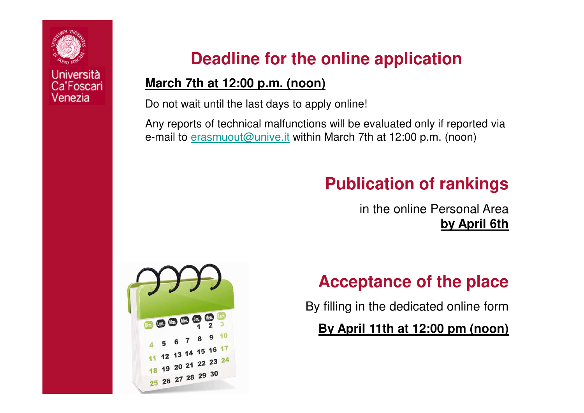

**Deadline for the online application**

### **March 7th at 12:00 p.m. (noon)**

Do not wait until the last days to apply online!

Any reports of technical malfunctions will be evaluated only if reported via e-mail to <u>erasmuout@unive.it</u> within March 7th at 12:00 p.m. (noon)

## **Publication of rankings**

in the online Personal Area **by April 6th**



## **Acceptance of the place**

By filling in the dedicated online form

**By April 11th at 12:00 pm (noon)**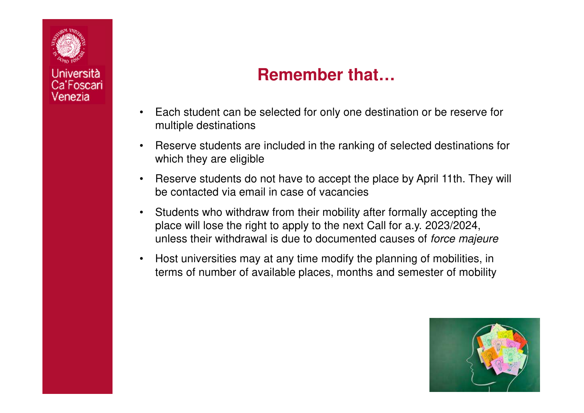

### **Remember that…**

- • Each student can be selected for only one destination or be reserve for multiple destinations
- • Reserve students are included in the ranking of selected destinations for which they are eligible
- • Reserve students do not have to accept the place by April 11th. They will be contacted via email in case of vacancies
- • Students who withdraw from their mobility after formally accepting the place will lose the right to apply to the next Call for a.y. 2023/2024, unless their withdrawal is due to documented causes of force majeure
- • Host universities may at any time modify the planning of mobilities, in terms of number of available places, months and semester of mobility